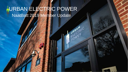#### NaatBatt 2019 Member Update URBAN ELECTRIC POWER

LURBANIC<br>ELEVER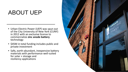#### ABOUT UEP

- Urban Electric Power (UEP) was spun out of the City University of New York (CUNY) in 2012 with an exclusive license to commercialize **zinc anode battery** technology
- \$45M in total funding includes public and private investment
- Safe**,** earth-abundant, inexpensive battery materials with performance well-suited for solar + storage and resiliency applications

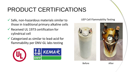# PRODUCT CERTIFICATIONS

- $\checkmark$  Safe, non-hazardous materials similar to those in traditional primary alkaline cells
- $\checkmark$  Received UL 1973 certification for cylindrical cell
- $\checkmark$  Categorized as similar to lead-acid for flammability per DNV-GL labs testing



#### UEP Cell Flammability Testing



Before **After**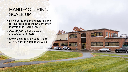#### MANUFACTURING SCALE UP

- Fully operational manufacturing and testing facilities at the NY Center for Innovation in Pearl River, NY
- Over 60,000 cylindrical cells manufactured in 2018
- Growth plan to scale up to 1,000 cells per day (~250,000 per year)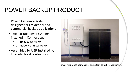### POWER BACKUP PRODUCT

- Power Assurance system designed for residential and commercial backup applications
- Two backup power systems installed in Connecticut
	- IT firm (112kWh/8kW)
	- CT residence (56kWh/8kW)
- Assembled by UEP, installed by local electrical contractors



Power Assurance demonstration system at UEP headquarters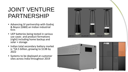#### JOINT VENTURE PARTNERSHIP

- Advancing JV partnership with Godrej & Boyce (G&B) an Indian industrial firm
- UEP batteries being tested in various use cases and product formations (right) including home backup and solar + storage
- Indian total secondary battery market is ~\$4.5 billion, growing to \$13B by 2022
- Systems to be deployed at customer sites across India throughout 2019



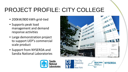# PROJECT PROFILE: CITY COLLEGE

- 200kW/800 kWh grid-tied
- Supports peak load management and demand response activities
- Large demonstration project to support UEP's commercial scale product
- Support from NYSERDA and Sandia National Laboratories







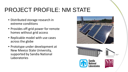# PROJECT PROFILE: NM STATE

- Distributed storage research in extreme conditions
- Provides off-grid power for remote homes without grid access
- Replicable model with use cases across the globe
- Prototype under development at New Mexico State University, supported by Sandia National Laboratories